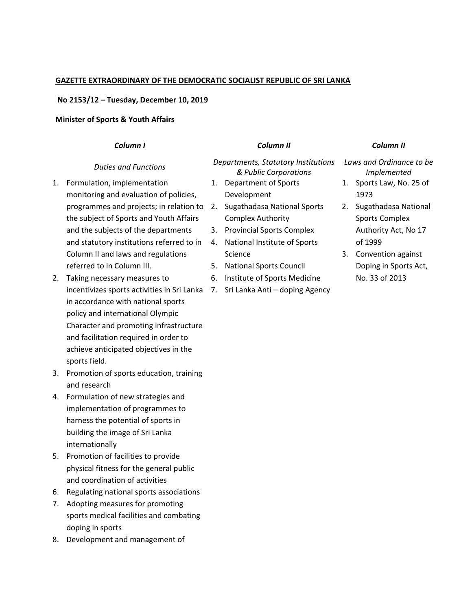## **GAZETTE EXTRAORDINARY OF THE DEMOCRATIC SOCIALIST REPUBLIC OF SRI LANKA**

## **No 2153/12 – Tuesday, December 10, 2019**

## **Minister of Sports & Youth Affairs**

sports field.

|    | Column I                                    |                                                              | Column II                        |                                         | Column II             |
|----|---------------------------------------------|--------------------------------------------------------------|----------------------------------|-----------------------------------------|-----------------------|
|    | <b>Duties and Functions</b>                 | Departments, Statutory Institutions<br>& Public Corporations |                                  | Laws and Ordinance to be<br>Implemented |                       |
| 1. | Formulation, implementation                 | 1.                                                           | Department of Sports             | 1.                                      | Sports Law, No. 25 of |
|    | monitoring and evaluation of policies,      |                                                              | Development                      |                                         | 1973                  |
|    | programmes and projects; in relation to     | 2.                                                           | Sugathadasa National Sports      | 2.                                      | Sugathadasa National  |
|    | the subject of Sports and Youth Affairs     |                                                              | <b>Complex Authority</b>         |                                         | <b>Sports Complex</b> |
|    | and the subjects of the departments         | 3.                                                           | <b>Provincial Sports Complex</b> |                                         | Authority Act, No 17  |
|    | and statutory institutions referred to in   | 4.                                                           | National Institute of Sports     |                                         | of 1999               |
|    | Column II and laws and regulations          |                                                              | Science                          | 3.                                      | Convention against    |
|    | referred to in Column III.                  | 5.                                                           | <b>National Sports Council</b>   |                                         | Doping in Sports Act, |
| 2. | Taking necessary measures to                | 6.                                                           | Institute of Sports Medicine     |                                         | No. 33 of 2013        |
|    | incentivizes sports activities in Sri Lanka | 7.                                                           | Sri Lanka Anti - doping Agency   |                                         |                       |
|    | in accordance with national sports          |                                                              |                                  |                                         |                       |
|    | policy and international Olympic            |                                                              |                                  |                                         |                       |
|    | Character and promoting infrastructure      |                                                              |                                  |                                         |                       |
|    | and facilitation required in order to       |                                                              |                                  |                                         |                       |
|    | achieve anticipated objectives in the       |                                                              |                                  |                                         |                       |

- 3. Promotion of sports education, training and research
- 4. Formulation of new strategies and implementation of programmes to harness the potential of sports in building the image of Sri Lanka internationally
- 5. Promotion of facilities to provide physical fitness for the general public and coordination of activities
- 6. Regulating national sports associations
- 7. Adopting measures for promoting sports medical facilities and combating doping in sports
- 8. Development and management of